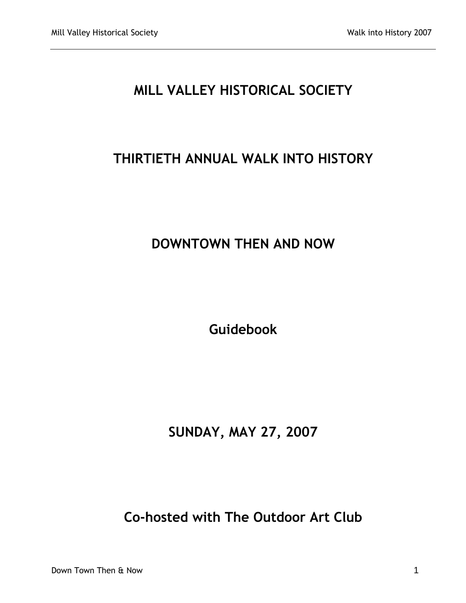# **MILL VALLEY HISTORICAL SOCIETY**

# **THIRTIETH ANNUAL WALK INTO HISTORY**

# **DOWNTOWN THEN AND NOW**

**Guidebook**

# **SUNDAY, MAY 27, 2007**

# **Co-hosted with The Outdoor Art Club**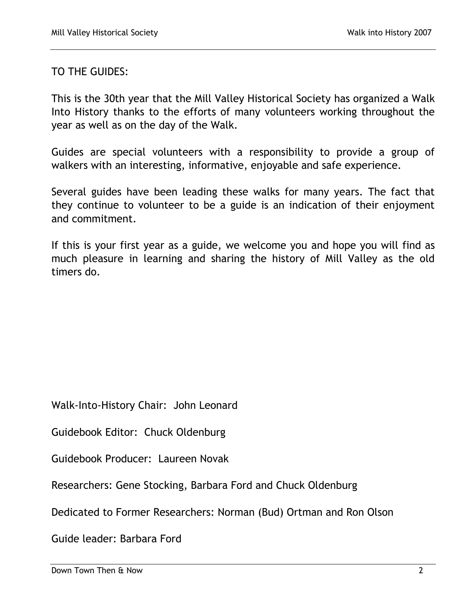TO THE GUIDES:

This is the 30th year that the Mill Valley Historical Society has organized a Walk Into History thanks to the efforts of many volunteers working throughout the year as well as on the day of the Walk.

Guides are special volunteers with a responsibility to provide a group of walkers with an interesting, informative, enjoyable and safe experience.

Several guides have been leading these walks for many years. The fact that they continue to volunteer to be a guide is an indication of their enjoyment and commitment.

If this is your first year as a guide, we welcome you and hope you will find as much pleasure in learning and sharing the history of Mill Valley as the old timers do.

Walk-Into-History Chair: John Leonard

Guidebook Editor: Chuck Oldenburg

Guidebook Producer: Laureen Novak

Researchers: Gene Stocking, Barbara Ford and Chuck Oldenburg

Dedicated to Former Researchers: Norman (Bud) Ortman and Ron Olson

Guide leader: Barbara Ford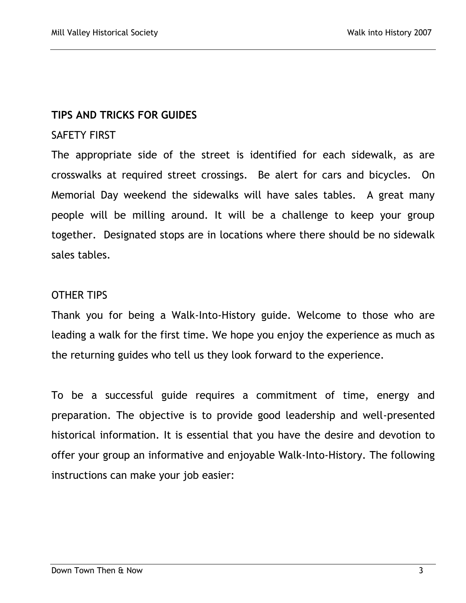## **TIPS AND TRICKS FOR GUIDES**

## SAFETY FIRST

The appropriate side of the street is identified for each sidewalk, as are crosswalks at required street crossings. Be alert for cars and bicycles.On Memorial Day weekend the sidewalks will have sales tables. A great many people will be milling around. It will be a challenge to keep your group together. Designated stops are in locations where there should be no sidewalk sales tables.

## OTHER TIPS

Thank you for being a Walk-Into-History guide. Welcome to those who are leading a walk for the first time. We hope you enjoy the experience as much as the returning guides who tell us they look forward to the experience.

To be a successful guide requires a commitment of time, energy and preparation. The objective is to provide good leadership and well-presented historical information. It is essential that you have the desire and devotion to offer your group an informative and enjoyable Walk-Into-History. The following instructions can make your job easier: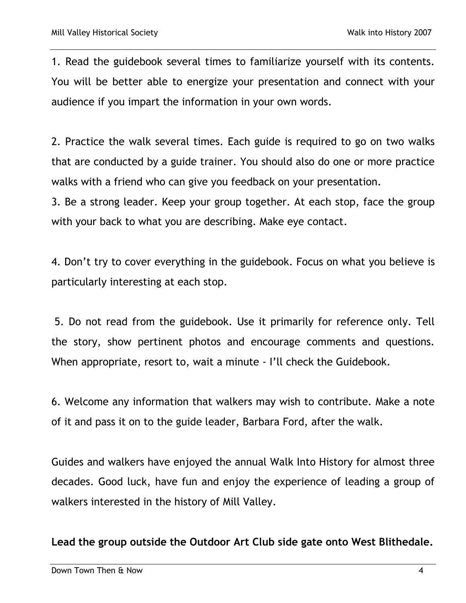1. Read the guidebook several times to familiarize yourself with its contents. You will be better able to energize your presentation and connect with your audience if you impart the information in your own words.

2. Practice the walk several times. Each guide is required to go on two walks that are conducted by a guide trainer. You should also do one or more practice walks with a friend who can give you feedback on your presentation.

3. Be a strong leader. Keep your group together. At each stop, face the group with your back to what you are describing. Make eye contact.

4. Don't try to cover everything in the guidebook. Focus on what you believe is particularly interesting at each stop.

5. Do not read from the guidebook. Use it primarily for reference only. Tell the story, show pertinent photos and encourage comments and questions. When appropriate, resort to, wait a minute - I'll check the Guidebook.

6. Welcome any information that walkers may wish to contribute. Make a note of it and pass it on to the guide leader, Barbara Ford, after the walk.

Guides and walkers have enjoyed the annual Walk Into History for almost three decades. Good luck, have fun and enjoy the experience of leading a group of walkers interested in the history of Mill Valley.

**Lead the group outside the Outdoor Art Club side gate onto West Blithedale.**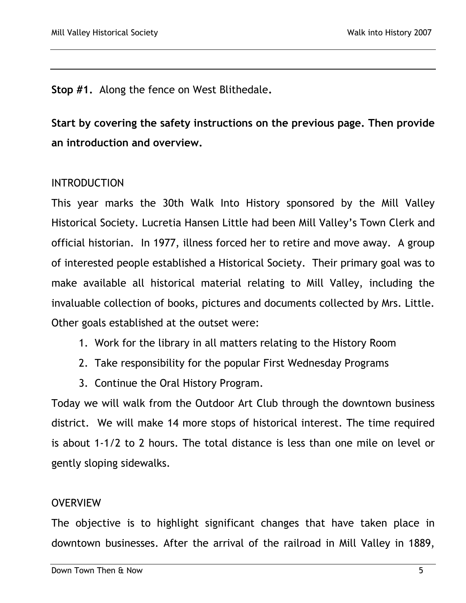**Stop #1.** Along the fence on West Blithedale**.**

**Start by covering the safety instructions on the previous page. Then provide an introduction and overview.**

# INTRODUCTION

This year marks the 30th Walk Into History sponsored by the Mill Valley Historical Society. Lucretia Hansen Little had been Mill Valley's Town Clerk and official historian. In 1977, illness forced her to retire and move away. A group of interested people established a Historical Society. Their primary goal was to make available all historical material relating to Mill Valley, including the invaluable collection of books, pictures and documents collected by Mrs. Little. Other goals established at the outset were:

- 1. Work for the library in all matters relating to the History Room
- 2. Take responsibility for the popular First Wednesday Programs
- 3. Continue the Oral History Program.

Today we will walk from the Outdoor Art Club through the downtown business district. We will make 14 more stops of historical interest. The time required is about 1-1/2 to 2 hours. The total distance is less than one mile on level or gently sloping sidewalks.

## **OVERVIEW**

The objective is to highlight significant changes that have taken place in downtown businesses. After the arrival of the railroad in Mill Valley in 1889,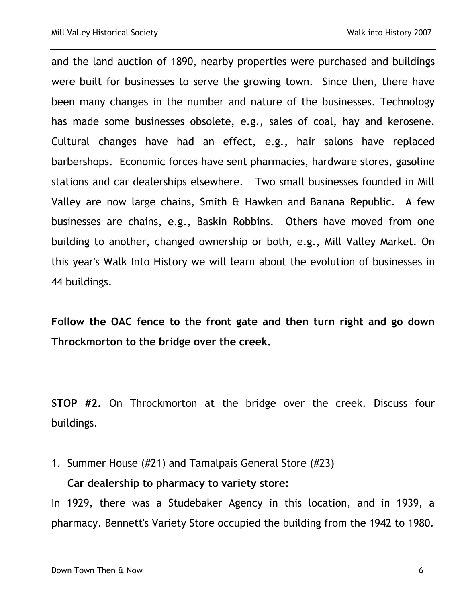and the land auction of 1890, nearby properties were purchased and buildings were built for businesses to serve the growing town. Since then, there have been many changes in the number and nature of the businesses. Technology has made some businesses obsolete, e.g., sales of coal, hay and kerosene. Cultural changes have had an effect, e.g., hair salons have replaced barbershops. Economic forces have sent pharmacies, hardware stores, gasoline stations and car dealerships elsewhere. Two small businesses founded in Mill Valley are now large chains, Smith & Hawken and Banana Republic. A few businesses are chains, e.g., Baskin Robbins. Others have moved from one building to another, changed ownership or both, e.g., Mill Valley Market. On this year's Walk Into History we will learn about the evolution of businesses in 44 buildings.

**Follow the OAC fence to the front gate and then turn right and go down Throckmorton to the bridge over the creek.**

**STOP #2.** On Throckmorton at the bridge over the creek. Discuss four buildings.

1. Summer House (#21) and Tamalpais General Store (#23)

# **Car dealership to pharmacy to variety store:**

In 1929, there was a Studebaker Agency in this location, and in 1939, a pharmacy. Bennett's Variety Store occupied the building from the 1942 to 1980.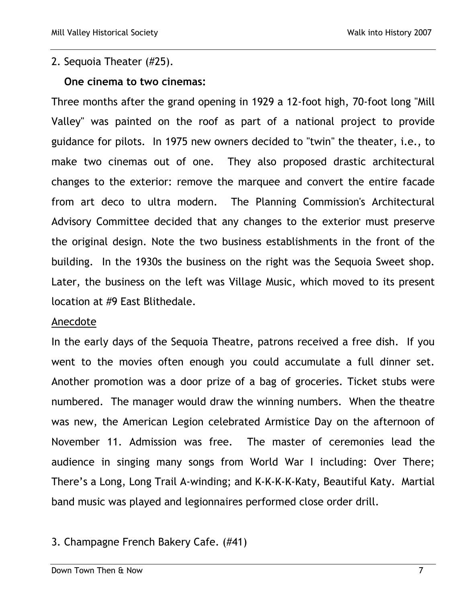## 2. Sequoia Theater (#25).

#### **One cinema to two cinemas:**

Three months after the grand opening in 1929 a 12-foot high, 70-foot long "Mill Valley" was painted on the roof as part of a national project to provide guidance for pilots. In 1975 new owners decided to "twin" the theater, i.e., to make two cinemas out of one. They also proposed drastic architectural changes to the exterior: remove the marquee and convert the entire facade from art deco to ultra modern. The Planning Commission's Architectural Advisory Committee decided that any changes to the exterior must preserve the original design. Note the two business establishments in the front of the building. In the 1930s the business on the right was the Sequoia Sweet shop. Later, the business on the left was Village Music, which moved to its present location at #9 East Blithedale.

#### Anecdote

In the early days of the Sequoia Theatre, patrons received a free dish. If you went to the movies often enough you could accumulate a full dinner set. Another promotion was a door prize of a bag of groceries. Ticket stubs were numbered. The manager would draw the winning numbers. When the theatre was new, the American Legion celebrated Armistice Day on the afternoon of November 11. Admission was free. The master of ceremonies lead the audience in singing many songs from World War I including: Over There; There's a Long, Long Trail A-winding; and K-K-K-K-Katy, Beautiful Katy. Martial band music was played and legionnaires performed close order drill.

## 3. Champagne French Bakery Cafe. (#41)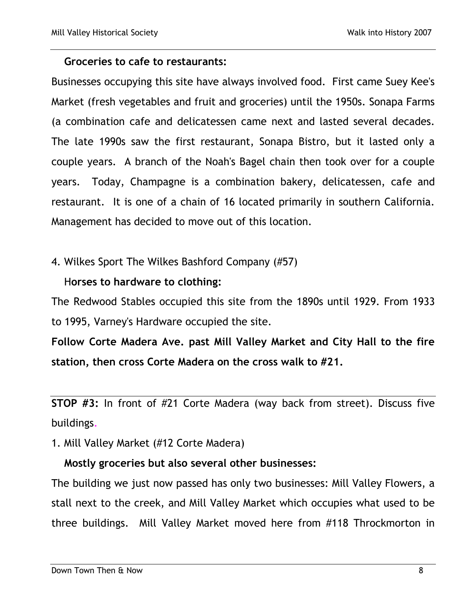#### **Groceries to cafe to restaurants:**

Businesses occupying this site have always involved food. First came Suey Kee's Market (fresh vegetables and fruit and groceries) until the 1950s. Sonapa Farms (a combination cafe and delicatessen came next and lasted several decades. The late 1990s saw the first restaurant, Sonapa Bistro, but it lasted only a couple years. A branch of the Noah's Bagel chain then took over for a couple years. Today, Champagne is a combination bakery, delicatessen, cafe and restaurant. It is one of a chain of 16 located primarily in southern California. Management has decided to move out of this location.

## 4. Wilkes Sport The Wilkes Bashford Company (#57)

## H**orses to hardware to clothing:**

The Redwood Stables occupied this site from the 1890s until 1929. From 1933 to 1995, Varney's Hardware occupied the site.

**Follow Corte Madera Ave. past Mill Valley Market and City Hall to the fire station, then cross Corte Madera on the cross walk to #21.**

**STOP #3:** In front of #21 Corte Madera (way back from street). Discuss five buildings.

1. Mill Valley Market (#12 Corte Madera)

## **Mostly groceries but also several other businesses:**

The building we just now passed has only two businesses: Mill Valley Flowers, a stall next to the creek, and Mill Valley Market which occupies what used to be three buildings. Mill Valley Market moved here from #118 Throckmorton in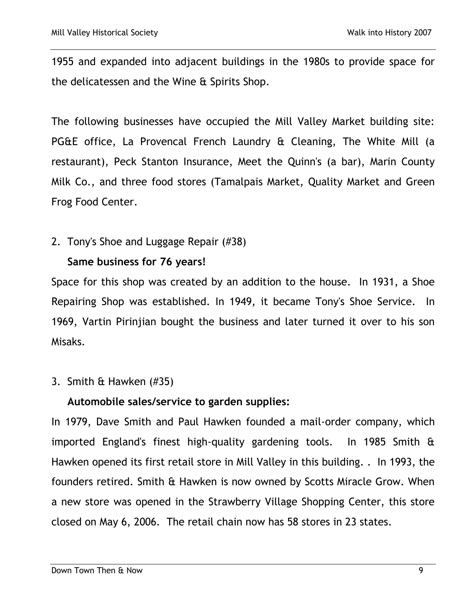1955 and expanded into adjacent buildings in the 1980s to provide space for the delicatessen and the Wine & Spirits Shop.

The following businesses have occupied the Mill Valley Market building site: PG&E office, La Provencal French Laundry & Cleaning, The White Mill (a restaurant), Peck Stanton Insurance, Meet the Quinn's (a bar), Marin County Milk Co., and three food stores (Tamalpais Market, Quality Market and Green Frog Food Center.

2. Tony's Shoe and Luggage Repair (#38)

## **Same business for 76 years!**

Space for this shop was created by an addition to the house. In 1931, a Shoe Repairing Shop was established. In 1949, it became Tony's Shoe Service. In 1969, Vartin Pirinjian bought the business and later turned it over to his son Misaks.

## 3. Smith & Hawken (#35)

# **Automobile sales/service to garden supplies:**

In 1979, Dave Smith and Paul Hawken founded a mail-order company, which imported England's finest high-quality gardening tools. In 1985 Smith & Hawken opened its first retail store in Mill Valley in this building. . In 1993, the founders retired. Smith & Hawken is now owned by Scotts Miracle Grow. When a new store was opened in the Strawberry Village Shopping Center, this store closed on May 6, 2006. The retail chain now has 58 stores in 23 states.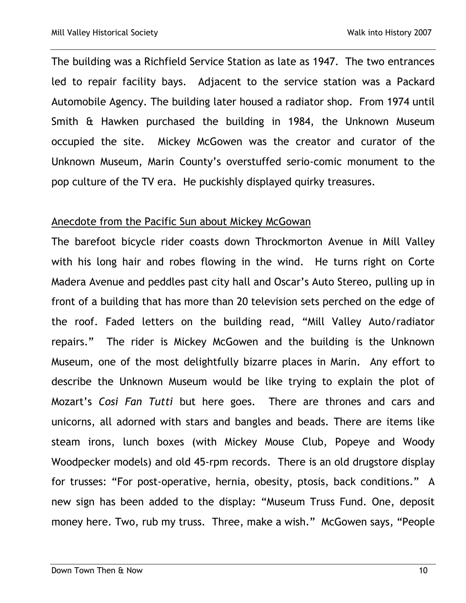The building was a Richfield Service Station as late as 1947. The two entrances led to repair facility bays. Adjacent to the service station was a Packard Automobile Agency. The building later housed a radiator shop. From 1974 until Smith & Hawken purchased the building in 1984, the Unknown Museum occupied the site. Mickey McGowen was the creator and curator of the Unknown Museum, Marin County's overstuffed serio-comic monument to the pop culture of the TV era. He puckishly displayed quirky treasures.

#### Anecdote from the Pacific Sun about Mickey McGowan

The barefoot bicycle rider coasts down Throckmorton Avenue in Mill Valley with his long hair and robes flowing in the wind. He turns right on Corte Madera Avenue and peddles past city hall and Oscar's Auto Stereo, pulling up in front of a building that has more than 20 television sets perched on the edge of the roof. Faded letters on the building read, "Mill Valley Auto/radiator repairs." The rider is Mickey McGowen and the building is the Unknown Museum, one of the most delightfully bizarre places in Marin. Any effort to describe the Unknown Museum would be like trying to explain the plot of Mozart's *Cosi Fan Tutti* but here goes. There are thrones and cars and unicorns, all adorned with stars and bangles and beads. There are items like steam irons, lunch boxes (with Mickey Mouse Club, Popeye and Woody Woodpecker models) and old 45-rpm records. There is an old drugstore display for trusses: "For post-operative, hernia, obesity, ptosis, back conditions." A new sign has been added to the display: "Museum Truss Fund. One, deposit money here. Two, rub my truss. Three, make a wish." McGowen says, "People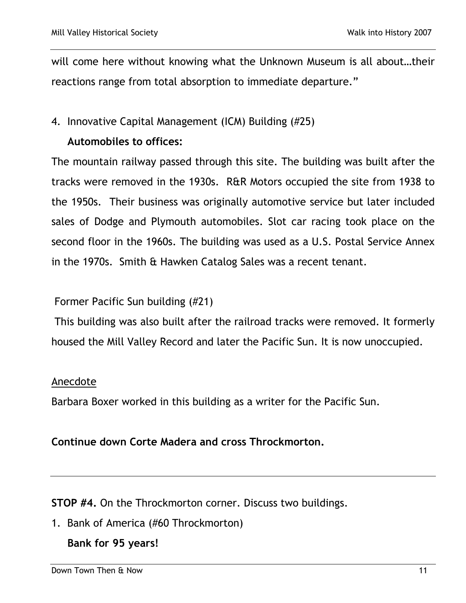will come here without knowing what the Unknown Museum is all about…their reactions range from total absorption to immediate departure."

## 4. Innovative Capital Management (ICM) Building (#25)

# **Automobiles to offices:**

The mountain railway passed through this site. The building was built after the tracks were removed in the 1930s. R&R Motors occupied the site from 1938 to the 1950s. Their business was originally automotive service but later included sales of Dodge and Plymouth automobiles. Slot car racing took place on the second floor in the 1960s. The building was used as a U.S. Postal Service Annex in the 1970s. Smith & Hawken Catalog Sales was a recent tenant.

## Former Pacific Sun building (#21)

This building was also built after the railroad tracks were removed. It formerly housed the Mill Valley Record and later the Pacific Sun. It is now unoccupied.

## Anecdote

Barbara Boxer worked in this building as a writer for the Pacific Sun.

## **Continue down Corte Madera and cross Throckmorton.**

**STOP #4.** On the Throckmorton corner. Discuss two buildings.

1. Bank of America (#60 Throckmorton)

## **Bank for 95 years!**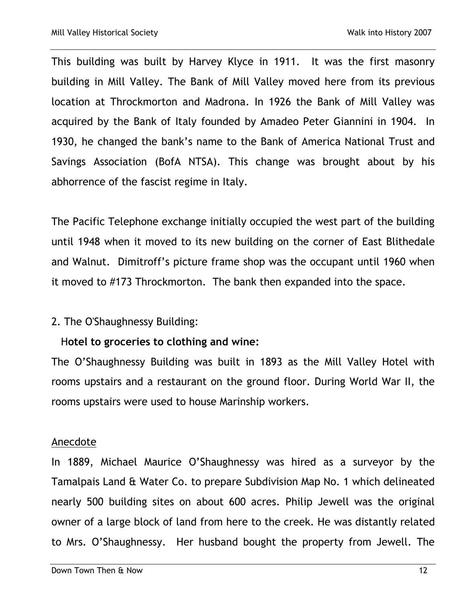This building was built by Harvey Klyce in 1911. It was the first masonry building in Mill Valley. The Bank of Mill Valley moved here from its previous location at Throckmorton and Madrona. In 1926 the Bank of Mill Valley was acquired by the Bank of Italy founded by Amadeo Peter Giannini in 1904. In 1930, he changed the bank's name to the Bank of America National Trust and Savings Association (BofA NTSA). This change was brought about by his abhorrence of the fascist regime in Italy.

The Pacific Telephone exchange initially occupied the west part of the building until 1948 when it moved to its new building on the corner of East Blithedale and Walnut. Dimitroff's picture frame shop was the occupant until 1960 when it moved to #173 Throckmorton. The bank then expanded into the space.

## 2. The O'Shaughnessy Building:

# H**otel to groceries to clothing and wine:**

The O'Shaughnessy Building was built in 1893 as the Mill Valley Hotel with rooms upstairs and a restaurant on the ground floor. During World War II, the rooms upstairs were used to house Marinship workers.

## Anecdote

In 1889, Michael Maurice O'Shaughnessy was hired as a surveyor by the Tamalpais Land & Water Co. to prepare Subdivision Map No. 1 which delineated nearly 500 building sites on about 600 acres. Philip Jewell was the original owner of a large block of land from here to the creek. He was distantly related to Mrs. O'Shaughnessy. Her husband bought the property from Jewell. The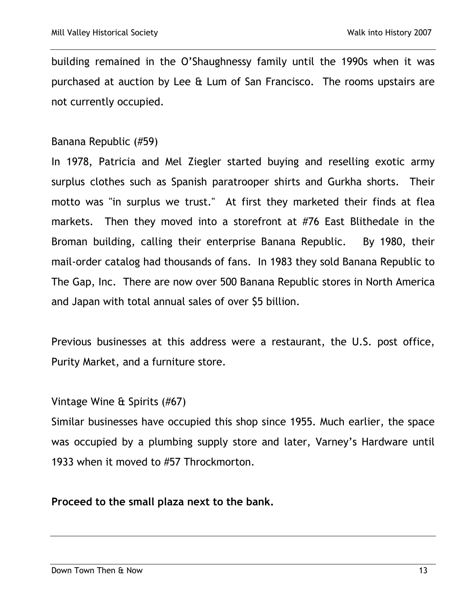building remained in the O'Shaughnessy family until the 1990s when it was purchased at auction by Lee & Lum of San Francisco. The rooms upstairs are not currently occupied.

#### Banana Republic (#59)

In 1978, Patricia and Mel Ziegler started buying and reselling exotic army surplus clothes such as Spanish paratrooper shirts and Gurkha shorts. Their motto was "in surplus we trust." At first they marketed their finds at flea markets. Then they moved into a storefront at #76 East Blithedale in the Broman building, calling their enterprise Banana Republic. By 1980, their mail-order catalog had thousands of fans. In 1983 they sold Banana Republic to The Gap, Inc. There are now over 500 Banana Republic stores in North America and Japan with total annual sales of over \$5 billion.

Previous businesses at this address were a restaurant, the U.S. post office, Purity Market, and a furniture store.

#### Vintage Wine & Spirits (#67)

Similar businesses have occupied this shop since 1955. Much earlier, the space was occupied by a plumbing supply store and later, Varney's Hardware until 1933 when it moved to #57 Throckmorton.

#### **Proceed to the small plaza next to the bank.**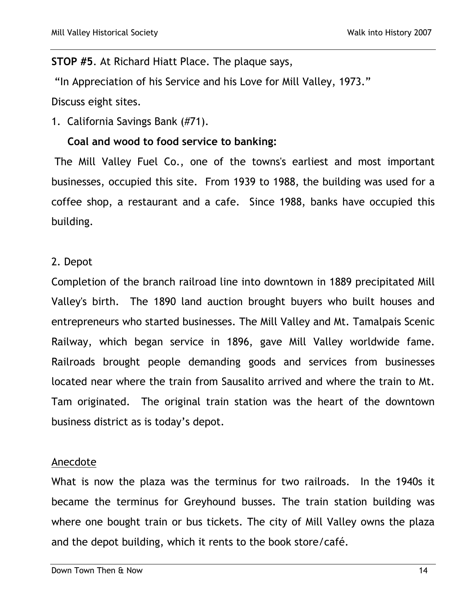#### **STOP #5**. At Richard Hiatt Place. The plaque says,

"In Appreciation of his Service and his Love for Mill Valley, 1973."

Discuss eight sites.

1. California Savings Bank (#71).

## **Coal and wood to food service to banking:**

The Mill Valley Fuel Co., one of the towns's earliest and most important businesses, occupied this site. From 1939 to 1988, the building was used for a coffee shop, a restaurant and a cafe. Since 1988, banks have occupied this building.

#### 2. Depot

Completion of the branch railroad line into downtown in 1889 precipitated Mill Valley's birth. The 1890 land auction brought buyers who built houses and entrepreneurs who started businesses. The Mill Valley and Mt. Tamalpais Scenic Railway, which began service in 1896, gave Mill Valley worldwide fame. Railroads brought people demanding goods and services from businesses located near where the train from Sausalito arrived and where the train to Mt. Tam originated. The original train station was the heart of the downtown business district as is today's depot.

#### Anecdote

What is now the plaza was the terminus for two railroads. In the 1940s it became the terminus for Greyhound busses. The train station building was where one bought train or bus tickets. The city of Mill Valley owns the plaza and the depot building, which it rents to the book store/café.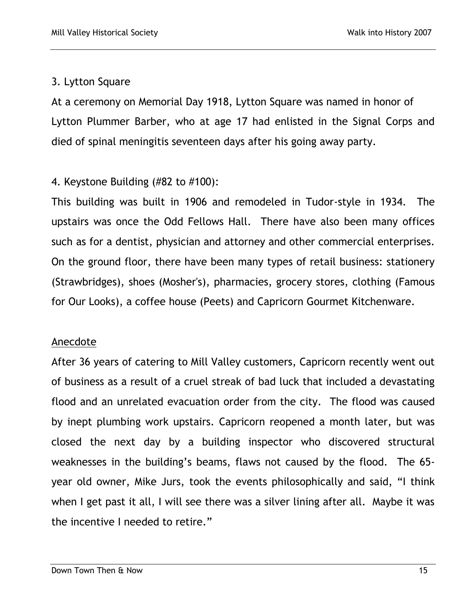## 3. Lytton Square

At a ceremony on Memorial Day 1918, Lytton Square was named in honor of Lytton Plummer Barber, who at age 17 had enlisted in the Signal Corps and died of spinal meningitis seventeen days after his going away party.

# 4. Keystone Building (#82 to #100):

This building was built in 1906 and remodeled in Tudor-style in 1934. The upstairs was once the Odd Fellows Hall. There have also been many offices such as for a dentist, physician and attorney and other commercial enterprises. On the ground floor, there have been many types of retail business: stationery (Strawbridges), shoes (Mosher's), pharmacies, grocery stores, clothing (Famous for Our Looks), a coffee house (Peets) and Capricorn Gourmet Kitchenware.

## Anecdote

After 36 years of catering to Mill Valley customers, Capricorn recently went out of business as a result of a cruel streak of bad luck that included a devastating flood and an unrelated evacuation order from the city. The flood was caused by inept plumbing work upstairs. Capricorn reopened a month later, but was closed the next day by a building inspector who discovered structural weaknesses in the building's beams, flaws not caused by the flood. The 65 year old owner, Mike Jurs, took the events philosophically and said, "I think when I get past it all, I will see there was a silver lining after all. Maybe it was the incentive I needed to retire."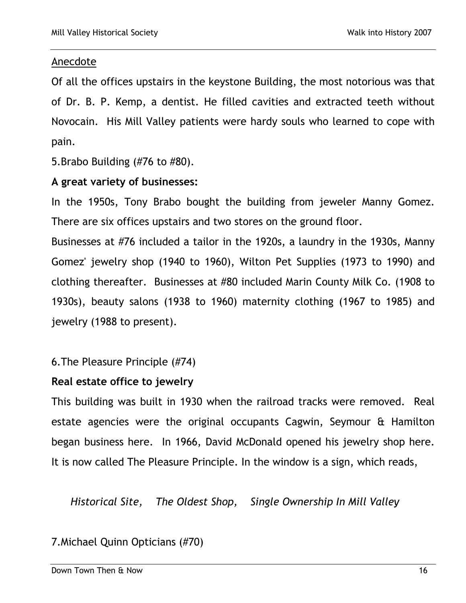## Anecdote

Of all the offices upstairs in the keystone Building, the most notorious was that of Dr. B. P. Kemp, a dentist. He filled cavities and extracted teeth without Novocain. His Mill Valley patients were hardy souls who learned to cope with pain.

5.Brabo Building (#76 to #80).

## **A great variety of businesses:**

In the 1950s, Tony Brabo bought the building from jeweler Manny Gomez. There are six offices upstairs and two stores on the ground floor.

Businesses at #76 included a tailor in the 1920s, a laundry in the 1930s, Manny Gomez' jewelry shop (1940 to 1960), Wilton Pet Supplies (1973 to 1990) and clothing thereafter. Businesses at #80 included Marin County Milk Co. (1908 to 1930s), beauty salons (1938 to 1960) maternity clothing (1967 to 1985) and jewelry (1988 to present).

6.The Pleasure Principle (#74)

## **Real estate office to jewelry**

This building was built in 1930 when the railroad tracks were removed. Real estate agencies were the original occupants Cagwin, Seymour & Hamilton began business here. In 1966, David McDonald opened his jewelry shop here. It is now called The Pleasure Principle. In the window is a sign, which reads,

 *Historical Site, The Oldest Shop, Single Ownership In Mill Valley*

# 7.Michael Quinn Opticians (#70)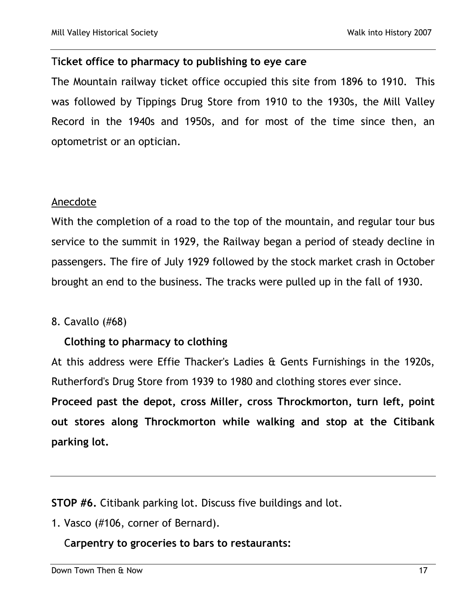## T**icket office to pharmacy to publishing to eye care**

The Mountain railway ticket office occupied this site from 1896 to 1910. This was followed by Tippings Drug Store from 1910 to the 1930s, the Mill Valley Record in the 1940s and 1950s, and for most of the time since then, an optometrist or an optician.

## Anecdote

With the completion of a road to the top of the mountain, and regular tour bus service to the summit in 1929, the Railway began a period of steady decline in passengers. The fire of July 1929 followed by the stock market crash in October brought an end to the business. The tracks were pulled up in the fall of 1930.

## 8. Cavallo (#68)

## **Clothing to pharmacy to clothing**

At this address were Effie Thacker's Ladies & Gents Furnishings in the 1920s, Rutherford's Drug Store from 1939 to 1980 and clothing stores ever since.

**Proceed past the depot, cross Miller, cross Throckmorton, turn left, point out stores along Throckmorton while walking and stop at the Citibank parking lot.**

**STOP #6.** Citibank parking lot. Discuss five buildings and lot.

1. Vasco (#106, corner of Bernard).

## C**arpentry to groceries to bars to restaurants:**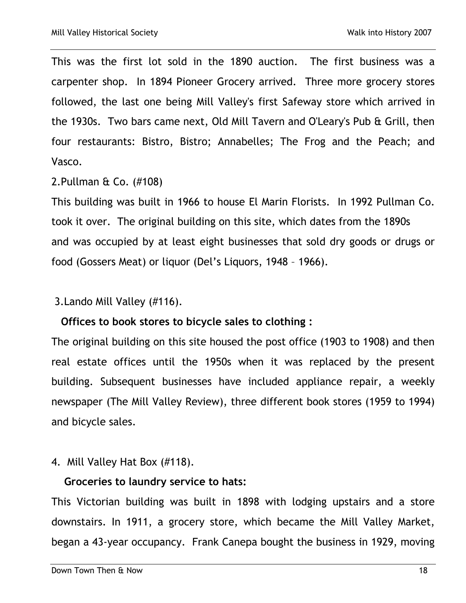This was the first lot sold in the 1890 auction. The first business was a carpenter shop. In 1894 Pioneer Grocery arrived. Three more grocery stores followed, the last one being Mill Valley's first Safeway store which arrived in the 1930s. Two bars came next, Old Mill Tavern and O'Leary's Pub & Grill, then four restaurants: Bistro, Bistro; Annabelles; The Frog and the Peach; and Vasco.

2.Pullman & Co. (#108)

This building was built in 1966 to house El Marin Florists. In 1992 Pullman Co. took it over. The original building on this site, which dates from the 1890s and was occupied by at least eight businesses that sold dry goods or drugs or food (Gossers Meat) or liquor (Del's Liquors, 1948 – 1966).

3.Lando Mill Valley (#116).

#### **Offices to book stores to bicycle sales to clothing :**

The original building on this site housed the post office (1903 to 1908) and then real estate offices until the 1950s when it was replaced by the present building. Subsequent businesses have included appliance repair, a weekly newspaper (The Mill Valley Review), three different book stores (1959 to 1994) and bicycle sales.

#### 4. Mill Valley Hat Box (#118).

#### **Groceries to laundry service to hats:**

This Victorian building was built in 1898 with lodging upstairs and a store downstairs. In 1911, a grocery store, which became the Mill Valley Market, began a 43-year occupancy. Frank Canepa bought the business in 1929, moving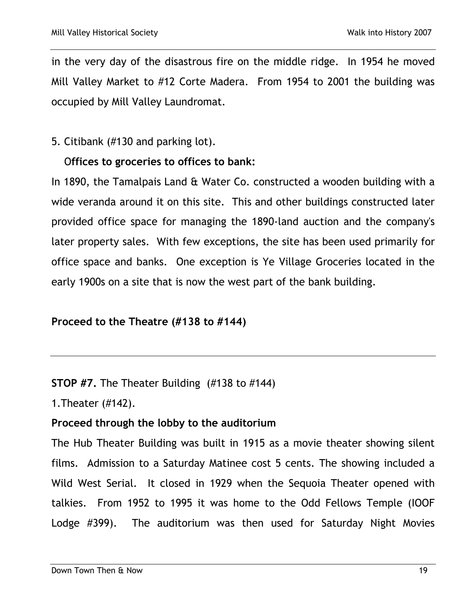in the very day of the disastrous fire on the middle ridge. In 1954 he moved Mill Valley Market to #12 Corte Madera. From 1954 to 2001 the building was occupied by Mill Valley Laundromat.

5. Citibank (#130 and parking lot).

# O**ffices to groceries to offices to bank:**

In 1890, the Tamalpais Land & Water Co. constructed a wooden building with a wide veranda around it on this site. This and other buildings constructed later provided office space for managing the 1890-land auction and the company's later property sales. With few exceptions, the site has been used primarily for office space and banks. One exception is Ye Village Groceries located in the early 1900s on a site that is now the west part of the bank building.

## **Proceed to the Theatre (#138 to #144)**

**STOP #7.** The Theater Building (#138 to #144)

1.Theater (#142).

# **Proceed through the lobby to the auditorium**

The Hub Theater Building was built in 1915 as a movie theater showing silent films. Admission to a Saturday Matinee cost 5 cents. The showing included a Wild West Serial. It closed in 1929 when the Sequoia Theater opened with talkies. From 1952 to 1995 it was home to the Odd Fellows Temple (IOOF Lodge #399). The auditorium was then used for Saturday Night Movies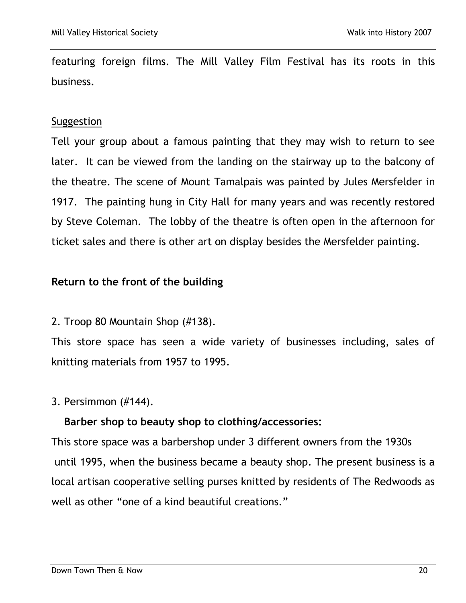featuring foreign films. The Mill Valley Film Festival has its roots in this business.

#### Suggestion

Tell your group about a famous painting that they may wish to return to see later. It can be viewed from the landing on the stairway up to the balcony of the theatre. The scene of Mount Tamalpais was painted by Jules Mersfelder in 1917. The painting hung in City Hall for many years and was recently restored by Steve Coleman. The lobby of the theatre is often open in the afternoon for ticket sales and there is other art on display besides the Mersfelder painting.

## **Return to the front of the building**

2. Troop 80 Mountain Shop (#138).

This store space has seen a wide variety of businesses including, sales of knitting materials from 1957 to 1995.

## 3. Persimmon (#144).

## **Barber shop to beauty shop to clothing/accessories:**

This store space was a barbershop under 3 different owners from the 1930s until 1995, when the business became a beauty shop. The present business is a local artisan cooperative selling purses knitted by residents of The Redwoods as well as other "one of a kind beautiful creations."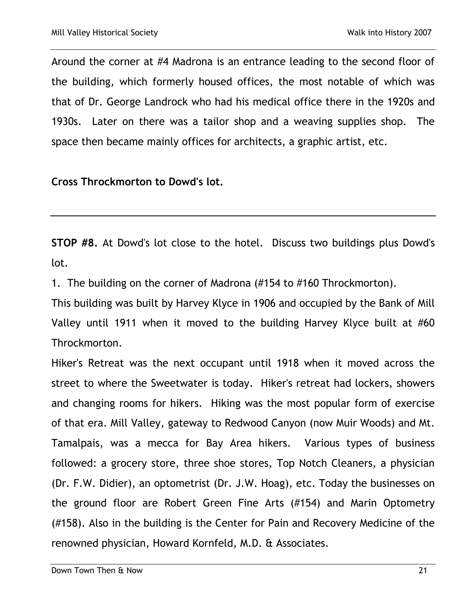Around the corner at #4 Madrona is an entrance leading to the second floor of the building, which formerly housed offices, the most notable of which was that of Dr. George Landrock who had his medical office there in the 1920s and 1930s. Later on there was a tailor shop and a weaving supplies shop. The space then became mainly offices for architects, a graphic artist, etc.

**Cross Throckmorton to Dowd's lot.**

**STOP #8.** At Dowd's lot close to the hotel. Discuss two buildings plus Dowd's lot.

1. The building on the corner of Madrona (#154 to #160 Throckmorton).

This building was built by Harvey Klyce in 1906 and occupied by the Bank of Mill Valley until 1911 when it moved to the building Harvey Klyce built at #60 Throckmorton.

Hiker's Retreat was the next occupant until 1918 when it moved across the street to where the Sweetwater is today. Hiker's retreat had lockers, showers and changing rooms for hikers. Hiking was the most popular form of exercise of that era. Mill Valley, gateway to Redwood Canyon (now Muir Woods) and Mt. Tamalpais, was a mecca for Bay Area hikers. Various types of business followed: a grocery store, three shoe stores, Top Notch Cleaners, a physician (Dr. F.W. Didier), an optometrist (Dr. J.W. Hoag), etc. Today the businesses on the ground floor are Robert Green Fine Arts (#154) and Marin Optometry (#158). Also in the building is the Center for Pain and Recovery Medicine of the renowned physician, Howard Kornfeld, M.D. & Associates.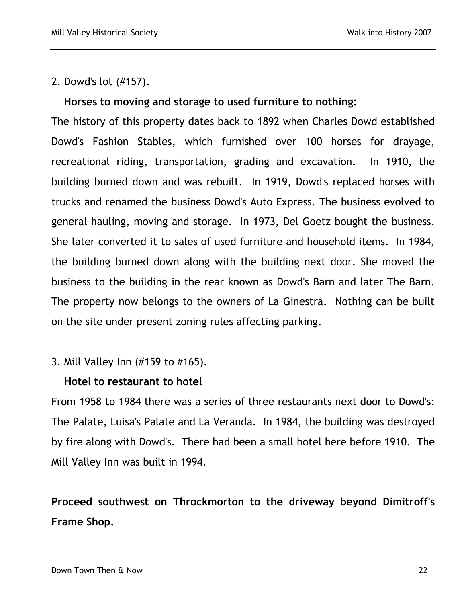2. Dowd's lot (#157).

# H**orses to moving and storage to used furniture to nothing:**

The history of this property dates back to 1892 when Charles Dowd established Dowd's Fashion Stables, which furnished over 100 horses for drayage, recreational riding, transportation, grading and excavation. In 1910, the building burned down and was rebuilt. In 1919, Dowd's replaced horses with trucks and renamed the business Dowd's Auto Express. The business evolved to general hauling, moving and storage. In 1973, Del Goetz bought the business. She later converted it to sales of used furniture and household items. In 1984, the building burned down along with the building next door. She moved the business to the building in the rear known as Dowd's Barn and later The Barn. The property now belongs to the owners of La Ginestra. Nothing can be built on the site under present zoning rules affecting parking.

3. Mill Valley Inn (#159 to #165).

## **Hotel to restaurant to hotel**

From 1958 to 1984 there was a series of three restaurants next door to Dowd's: The Palate, Luisa's Palate and La Veranda. In 1984, the building was destroyed by fire along with Dowd's. There had been a small hotel here before 1910. The Mill Valley Inn was built in 1994.

**Proceed southwest on Throckmorton to the driveway beyond Dimitroff's Frame Shop.**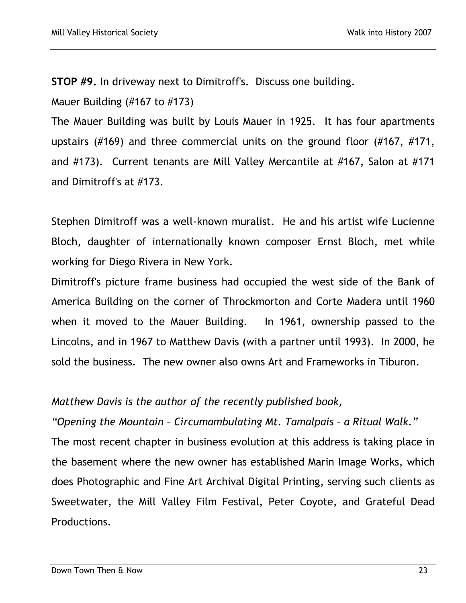**STOP #9.** In driveway next to Dimitroff's. Discuss one building.

Mauer Building (#167 to #173)

The Mauer Building was built by Louis Mauer in 1925. It has four apartments upstairs (#169) and three commercial units on the ground floor (#167, #171, and #173). Current tenants are Mill Valley Mercantile at #167, Salon at #171 and Dimitroff's at #173.

Stephen Dimitroff was a well-known muralist. He and his artist wife Lucienne Bloch, daughter of internationally known composer Ernst Bloch, met while working for Diego Rivera in New York.

Dimitroff's picture frame business had occupied the west side of the Bank of America Building on the corner of Throckmorton and Corte Madera until 1960 when it moved to the Mauer Building. In 1961, ownership passed to the Lincolns, and in 1967 to Matthew Davis (with a partner until 1993). In 2000, he sold the business. The new owner also owns Art and Frameworks in Tiburon.

## *Matthew Davis is the author of the recently published book,*

*"Opening the Mountain – Circumambulating Mt. Tamalpais – a Ritual Walk."* 

The most recent chapter in business evolution at this address is taking place in the basement where the new owner has established Marin Image Works, which does Photographic and Fine Art Archival Digital Printing, serving such clients as Sweetwater, the Mill Valley Film Festival, Peter Coyote, and Grateful Dead Productions.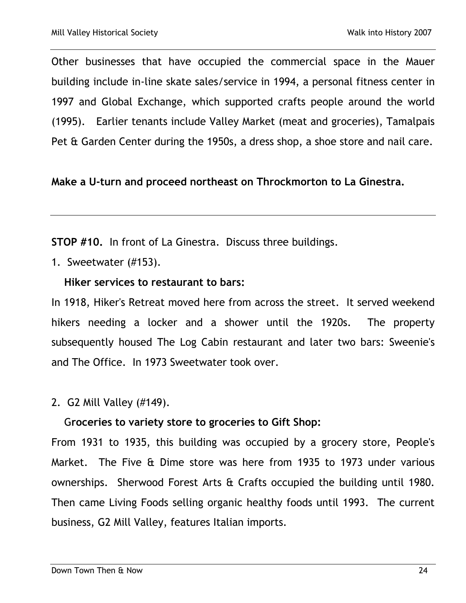Other businesses that have occupied the commercial space in the Mauer building include in-line skate sales/service in 1994, a personal fitness center in 1997 and Global Exchange, which supported crafts people around the world (1995). Earlier tenants include Valley Market (meat and groceries), Tamalpais Pet & Garden Center during the 1950s, a dress shop, a shoe store and nail care.

## **Make a U-turn and proceed northeast on Throckmorton to La Ginestra.**

**STOP #10.** In front of La Ginestra. Discuss three buildings.

1. Sweetwater (#153).

## **Hiker services to restaurant to bars:**

In 1918, Hiker's Retreat moved here from across the street. It served weekend hikers needing a locker and a shower until the 1920s. The property subsequently housed The Log Cabin restaurant and later two bars: Sweenie's and The Office. In 1973 Sweetwater took over.

2. G2 Mill Valley (#149).

## G**roceries to variety store to groceries to Gift Shop:**

From 1931 to 1935, this building was occupied by a grocery store, People's Market. The Five & Dime store was here from 1935 to 1973 under various ownerships. Sherwood Forest Arts & Crafts occupied the building until 1980. Then came Living Foods selling organic healthy foods until 1993. The current business, G2 Mill Valley, features Italian imports.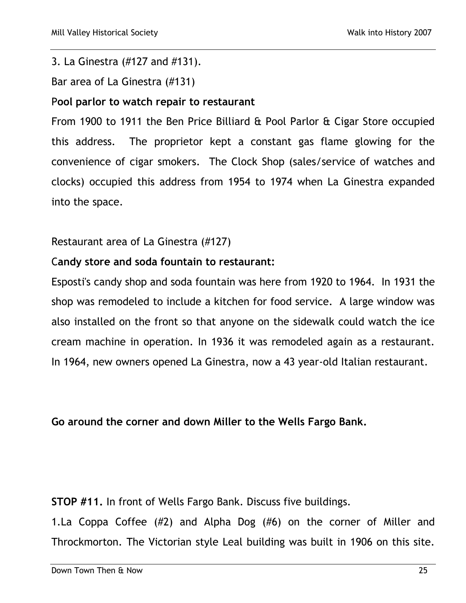#### 3. La Ginestra (#127 and #131).

Bar area of La Ginestra (#131)

## P**ool parlor to watch repair to restaurant**

From 1900 to 1911 the Ben Price Billiard & Pool Parlor & Cigar Store occupied this address. The proprietor kept a constant gas flame glowing for the convenience of cigar smokers. The Clock Shop (sales/service of watches and clocks) occupied this address from 1954 to 1974 when La Ginestra expanded into the space.

## Restaurant area of La Ginestra (#127)

## C**andy store and soda fountain to restaurant:**

Esposti's candy shop and soda fountain was here from 1920 to 1964. In 1931 the shop was remodeled to include a kitchen for food service. A large window was also installed on the front so that anyone on the sidewalk could watch the ice cream machine in operation. In 1936 it was remodeled again as a restaurant. In 1964, new owners opened La Ginestra, now a 43 year-old Italian restaurant.

## **Go around the corner and down Miller to the Wells Fargo Bank.**

**STOP #11.** In front of Wells Fargo Bank. Discuss five buildings.

1.La Coppa Coffee (#2) and Alpha Dog (#6) on the corner of Miller and Throckmorton. The Victorian style Leal building was built in 1906 on this site.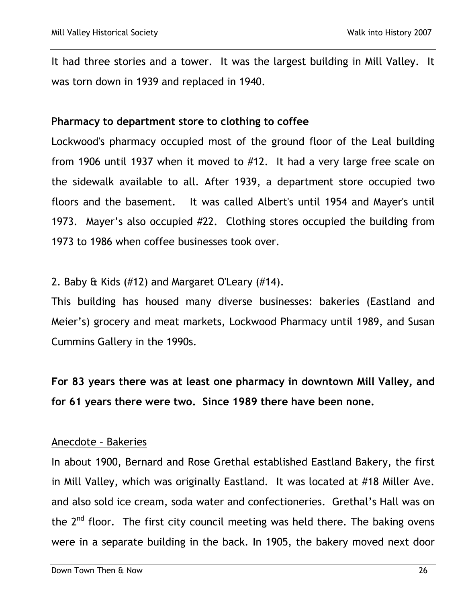It had three stories and a tower. It was the largest building in Mill Valley. It was torn down in 1939 and replaced in 1940.

#### P**harmacy to department store to clothing to coffee**

Lockwood's pharmacy occupied most of the ground floor of the Leal building from 1906 until 1937 when it moved to #12. It had a very large free scale on the sidewalk available to all. After 1939, a department store occupied two floors and the basement. It was called Albert's until 1954 and Mayer's until 1973. Mayer's also occupied #22. Clothing stores occupied the building from 1973 to 1986 when coffee businesses took over.

#### 2. Baby & Kids (#12) and Margaret O'Leary (#14).

This building has housed many diverse businesses: bakeries (Eastland and Meier's) grocery and meat markets, Lockwood Pharmacy until 1989, and Susan Cummins Gallery in the 1990s.

**For 83 years there was at least one pharmacy in downtown Mill Valley, and for 61 years there were two. Since 1989 there have been none.**

#### Anecdote – Bakeries

In about 1900, Bernard and Rose Grethal established Eastland Bakery, the first in Mill Valley, which was originally Eastland. It was located at #18 Miller Ave. and also sold ice cream, soda water and confectioneries. Grethal's Hall was on the  $2^{nd}$  floor. The first city council meeting was held there. The baking ovens were in a separate building in the back. In 1905, the bakery moved next door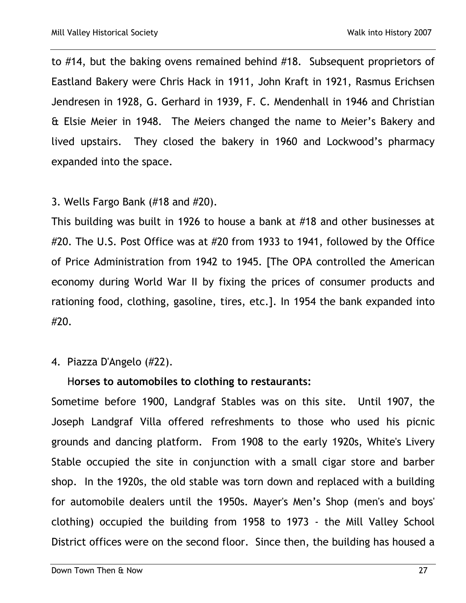to #14, but the baking ovens remained behind #18. Subsequent proprietors of Eastland Bakery were Chris Hack in 1911, John Kraft in 1921, Rasmus Erichsen Jendresen in 1928, G. Gerhard in 1939, F. C. Mendenhall in 1946 and Christian & Elsie Meier in 1948. The Meiers changed the name to Meier's Bakery and lived upstairs. They closed the bakery in 1960 and Lockwood's pharmacy expanded into the space.

## 3. Wells Fargo Bank (#18 and #20).

This building was built in 1926 to house a bank at #18 and other businesses at #20. The U.S. Post Office was at #20 from 1933 to 1941, followed by the Office of Price Administration from 1942 to 1945. [The OPA controlled the American economy during World War II by fixing the prices of consumer products and rationing food, clothing, gasoline, tires, etc.]. In 1954 the bank expanded into #20.

## 4. Piazza D'Angelo (#22).

# H**orses to automobiles to clothing to restaurants:**

Sometime before 1900, Landgraf Stables was on this site. Until 1907, the Joseph Landgraf Villa offered refreshments to those who used his picnic grounds and dancing platform. From 1908 to the early 1920s, White's Livery Stable occupied the site in conjunction with a small cigar store and barber shop. In the 1920s, the old stable was torn down and replaced with a building for automobile dealers until the 1950s. Mayer's Men's Shop (men's and boys' clothing) occupied the building from 1958 to 1973 - the Mill Valley School District offices were on the second floor. Since then, the building has housed a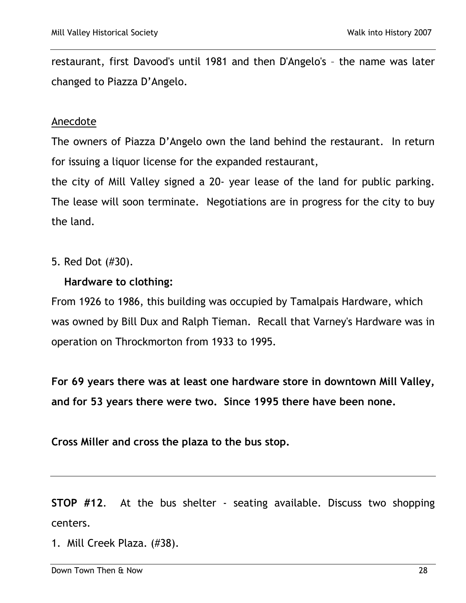restaurant, first Davood's until 1981 and then D'Angelo's – the name was later changed to Piazza D'Angelo.

#### Anecdote

The owners of Piazza D'Angelo own the land behind the restaurant. In return for issuing a liquor license for the expanded restaurant,

the city of Mill Valley signed a 20- year lease of the land for public parking. The lease will soon terminate. Negotiations are in progress for the city to buy the land.

5. Red Dot (#30).

## **Hardware to clothing:**

From 1926 to 1986, this building was occupied by Tamalpais Hardware, which was owned by Bill Dux and Ralph Tieman. Recall that Varney's Hardware was in operation on Throckmorton from 1933 to 1995.

**For 69 years there was at least one hardware store in downtown Mill Valley, and for 53 years there were two. Since 1995 there have been none.** 

**Cross Miller and cross the plaza to the bus stop.**

**STOP #12**. At the bus shelter - seating available. Discuss two shopping centers.

1. Mill Creek Plaza. (#38).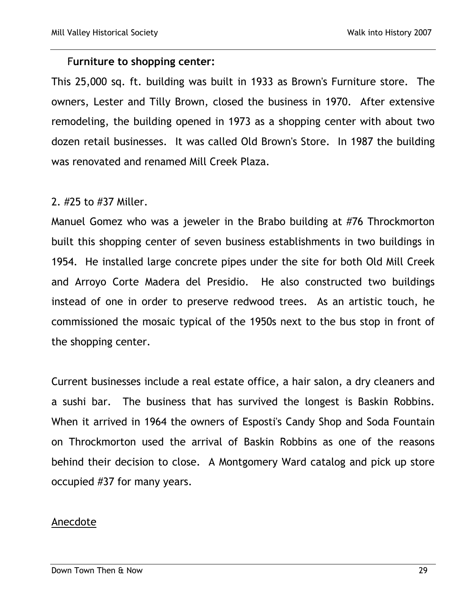#### F**urniture to shopping center:**

This 25,000 sq. ft. building was built in 1933 as Brown's Furniture store. The owners, Lester and Tilly Brown, closed the business in 1970. After extensive remodeling, the building opened in 1973 as a shopping center with about two dozen retail businesses. It was called Old Brown's Store. In 1987 the building was renovated and renamed Mill Creek Plaza.

#### 2. #25 to #37 Miller.

Manuel Gomez who was a jeweler in the Brabo building at #76 Throckmorton built this shopping center of seven business establishments in two buildings in 1954. He installed large concrete pipes under the site for both Old Mill Creek and Arroyo Corte Madera del Presidio. He also constructed two buildings instead of one in order to preserve redwood trees. As an artistic touch, he commissioned the mosaic typical of the 1950s next to the bus stop in front of the shopping center.

Current businesses include a real estate office, a hair salon, a dry cleaners and a sushi bar. The business that has survived the longest is Baskin Robbins. When it arrived in 1964 the owners of Esposti's Candy Shop and Soda Fountain on Throckmorton used the arrival of Baskin Robbins as one of the reasons behind their decision to close. A Montgomery Ward catalog and pick up store occupied #37 for many years.

#### Anecdote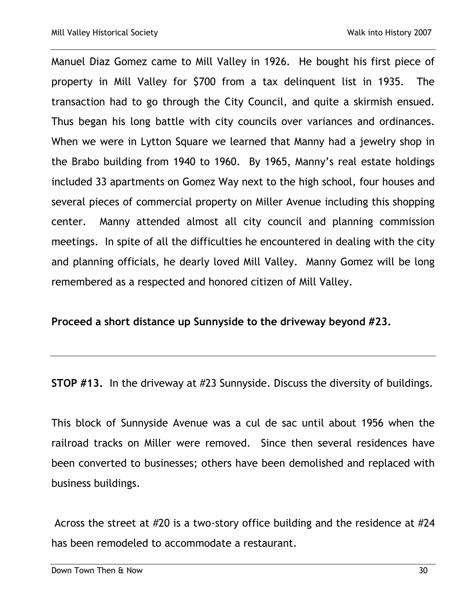Manuel Diaz Gomez came to Mill Valley in 1926. He bought his first piece of property in Mill Valley for \$700 from a tax delinquent list in 1935. The transaction had to go through the City Council, and quite a skirmish ensued. Thus began his long battle with city councils over variances and ordinances. When we were in Lytton Square we learned that Manny had a jewelry shop in the Brabo building from 1940 to 1960. By 1965, Manny's real estate holdings included 33 apartments on Gomez Way next to the high school, four houses and several pieces of commercial property on Miller Avenue including this shopping center. Manny attended almost all city council and planning commission meetings. In spite of all the difficulties he encountered in dealing with the city and planning officials, he dearly loved Mill Valley. Manny Gomez will be long remembered as a respected and honored citizen of Mill Valley.

**Proceed a short distance up Sunnyside to the driveway beyond #23.**

**STOP #13.** In the driveway at #23 Sunnyside. Discuss the diversity of buildings.

This block of Sunnyside Avenue was a cul de sac until about 1956 when the railroad tracks on Miller were removed. Since then several residences have been converted to businesses; others have been demolished and replaced with business buildings.

Across the street at #20 is a two-story office building and the residence at #24 has been remodeled to accommodate a restaurant.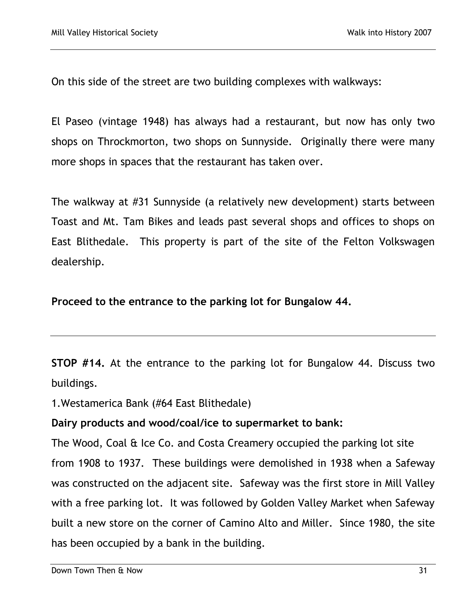On this side of the street are two building complexes with walkways:

El Paseo (vintage 1948) has always had a restaurant, but now has only two shops on Throckmorton, two shops on Sunnyside. Originally there were many more shops in spaces that the restaurant has taken over.

The walkway at #31 Sunnyside (a relatively new development) starts between Toast and Mt. Tam Bikes and leads past several shops and offices to shops on East Blithedale. This property is part of the site of the Felton Volkswagen dealership.

**Proceed to the entrance to the parking lot for Bungalow 44.**

**STOP #14.** At the entrance to the parking lot for Bungalow 44. Discuss two buildings.

1.Westamerica Bank (#64 East Blithedale)

**Dairy products and wood/coal/ice to supermarket to bank:**

The Wood, Coal & Ice Co. and Costa Creamery occupied the parking lot site from 1908 to 1937. These buildings were demolished in 1938 when a Safeway was constructed on the adjacent site. Safeway was the first store in Mill Valley with a free parking lot. It was followed by Golden Valley Market when Safeway built a new store on the corner of Camino Alto and Miller. Since 1980, the site has been occupied by a bank in the building.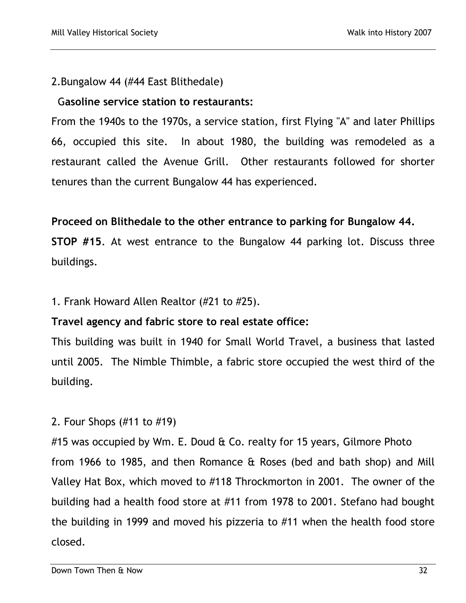## 2.Bungalow 44 (#44 East Blithedale)

## G**asoline service station to restaurants:**

From the 1940s to the 1970s, a service station, first Flying "A" and later Phillips 66, occupied this site. In about 1980, the building was remodeled as a restaurant called the Avenue Grill. Other restaurants followed for shorter tenures than the current Bungalow 44 has experienced.

# **Proceed on Blithedale to the other entrance to parking for Bungalow 44.**

**STOP #15**. At west entrance to the Bungalow 44 parking lot. Discuss three buildings.

## 1. Frank Howard Allen Realtor (#21 to #25).

## **Travel agency and fabric store to real estate office:**

This building was built in 1940 for Small World Travel, a business that lasted until 2005. The Nimble Thimble, a fabric store occupied the west third of the building.

# 2. Four Shops (#11 to #19)

#15 was occupied by Wm. E. Doud & Co. realty for 15 years, Gilmore Photo from 1966 to 1985, and then Romance & Roses (bed and bath shop) and Mill Valley Hat Box, which moved to #118 Throckmorton in 2001. The owner of the building had a health food store at #11 from 1978 to 2001. Stefano had bought the building in 1999 and moved his pizzeria to #11 when the health food store closed.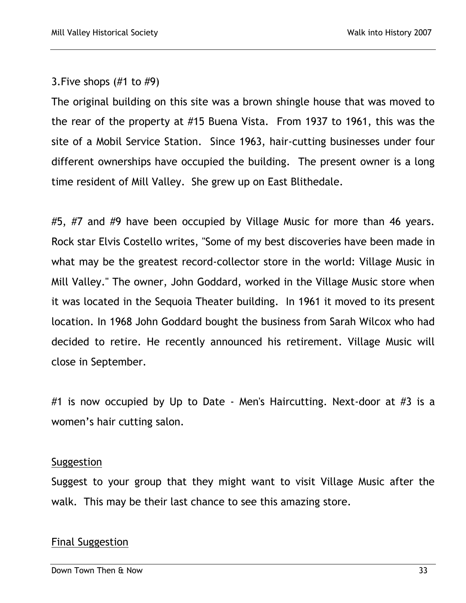## 3.Five shops (#1 to #9)

The original building on this site was a brown shingle house that was moved to the rear of the property at #15 Buena Vista. From 1937 to 1961, this was the site of a Mobil Service Station. Since 1963, hair-cutting businesses under four different ownerships have occupied the building. The present owner is a long time resident of Mill Valley. She grew up on East Blithedale.

#5, #7 and #9 have been occupied by Village Music for more than 46 years. Rock star Elvis Costello writes, "Some of my best discoveries have been made in what may be the greatest record-collector store in the world: Village Music in Mill Valley." The owner, John Goddard, worked in the Village Music store when it was located in the Sequoia Theater building. In 1961 it moved to its present location. In 1968 John Goddard bought the business from Sarah Wilcox who had decided to retire. He recently announced his retirement. Village Music will close in September.

#1 is now occupied by Up to Date - Men's Haircutting. Next-door at #3 is a women's hair cutting salon.

#### Suggestion

Suggest to your group that they might want to visit Village Music after the walk. This may be their last chance to see this amazing store.

## Final Suggestion